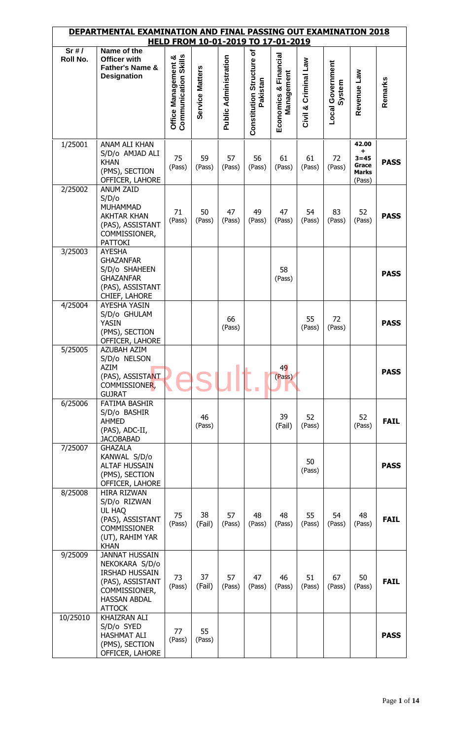|                  | DEPARTMENTAL EXAMINATION AND FINAL PASSING OUT EXAMINATION 2018                                                                               |                                                    |                 | HELD FROM 10-01-2019 TO 17-01-2019 |                                       |                                        |                         |                                   |                                                           |             |
|------------------|-----------------------------------------------------------------------------------------------------------------------------------------------|----------------------------------------------------|-----------------|------------------------------------|---------------------------------------|----------------------------------------|-------------------------|-----------------------------------|-----------------------------------------------------------|-------------|
| Sr#/<br>Roll No. | Name of the<br><b>Officer with</b><br><b>Father's Name &amp;</b><br><b>Designation</b>                                                        | <b>Communication Skills</b><br>Office Management & | Service Matters | <b>Public Administration</b>       | Constitution Structure of<br>Pakistan | Financial<br>Management<br>Economics & | Criminal Law<br>Civil & | <b>Local Government</b><br>System | Revenue Law                                               | Remarks     |
| 1/25001          | ANAM ALI KHAN<br>S/D/o AMJAD ALI<br><b>KHAN</b><br>(PMS), SECTION<br>OFFICER, LAHORE                                                          | 75<br>(Pass)                                       | 59<br>(Pass)    | 57<br>(Pass)                       | 56<br>(Pass)                          | 61<br>(Pass)                           | 61<br>(Pass)            | 72<br>(Pass)                      | 42.00<br>+<br>$3 = 45$<br>Grace<br><b>Marks</b><br>(Pass) | <b>PASS</b> |
| 2/25002          | <b>ANUM ZAID</b><br>S/D/o<br><b>MUHAMMAD</b><br><b>AKHTAR KHAN</b><br>(PAS), ASSISTANT<br>COMMISSIONER,<br><b>PATTOKI</b>                     | 71<br>(Pass)                                       | 50<br>(Pass)    | 47<br>(Pass)                       | 49<br>(Pass)                          | 47<br>(Pass)                           | 54<br>(Pass)            | 83<br>(Pass)                      | 52<br>(Pass)                                              | <b>PASS</b> |
| 3/25003          | <b>AYESHA</b><br><b>GHAZANFAR</b><br>S/D/o SHAHEEN<br><b>GHAZANFAR</b><br>(PAS), ASSISTANT<br>CHIEF, LAHORE                                   |                                                    |                 |                                    |                                       | 58<br>(Pass)                           |                         |                                   |                                                           | <b>PASS</b> |
| 4/25004          | AYESHA YASIN<br>S/D/o GHULAM<br><b>YASIN</b><br>(PMS), SECTION<br>OFFICER, LAHORE                                                             |                                                    |                 | 66<br>(Pass)                       |                                       |                                        | 55<br>(Pass)            | 72<br>(Pass)                      |                                                           | <b>PASS</b> |
| 5/25005          | <b>AZUBAH AZIM</b><br>S/D/o NELSON<br>AZIM<br>(PAS), ASSISTANT<br>COMMISSIONER,<br><b>GUJRAT</b>                                              |                                                    |                 |                                    |                                       | 49<br>(Pass)                           |                         |                                   |                                                           | <b>PASS</b> |
| 6/25006          | <b>FATIMA BASHIR</b><br>S/D/o BASHIR<br><b>AHMED</b><br>(PAS), ADC-II,<br><b>JACOBABAD</b>                                                    |                                                    | 46<br>(Pass)    |                                    |                                       | 39<br>(Fail)                           | 52<br>(Pass)            |                                   | 52<br>(Pass)                                              | <b>FAIL</b> |
| 7/25007          | <b>GHAZALA</b><br>KANWAL S/D/o<br><b>ALTAF HUSSAIN</b><br>(PMS), SECTION<br>OFFICER, LAHORE                                                   |                                                    |                 |                                    |                                       |                                        | 50<br>(Pass)            |                                   |                                                           | <b>PASS</b> |
| 8/25008          | HIRA RIZWAN<br>S/D/o RIZWAN<br>UL HAQ<br>(PAS), ASSISTANT<br><b>COMMISSIONER</b><br>(UT), RAHIM YAR<br><b>KHAN</b>                            | 75<br>(Pass)                                       | 38<br>(Fail)    | 57<br>(Pass)                       | 48<br>(Pass)                          | 48<br>(Pass)                           | 55<br>(Pass)            | 54<br>(Pass)                      | 48<br>(Pass)                                              | <b>FAIL</b> |
| 9/25009          | <b>JANNAT HUSSAIN</b><br>NEKOKARA S/D/o<br><b>IRSHAD HUSSAIN</b><br>(PAS), ASSISTANT<br>COMMISSIONER,<br><b>HASSAN ABDAL</b><br><b>ATTOCK</b> | 73<br>(Pass)                                       | 37<br>(Fail)    | 57<br>(Pass)                       | 47<br>(Pass)                          | 46<br>(Pass)                           | 51<br>(Pass)            | 67<br>(Pass)                      | 50<br>(Pass)                                              | <b>FAIL</b> |
| 10/25010         | KHAIZRAN ALI<br>S/D/o SYED<br><b>HASHMAT ALI</b><br>(PMS), SECTION<br>OFFICER, LAHORE                                                         | 77<br>(Pass)                                       | 55<br>(Pass)    |                                    |                                       |                                        |                         |                                   |                                                           | <b>PASS</b> |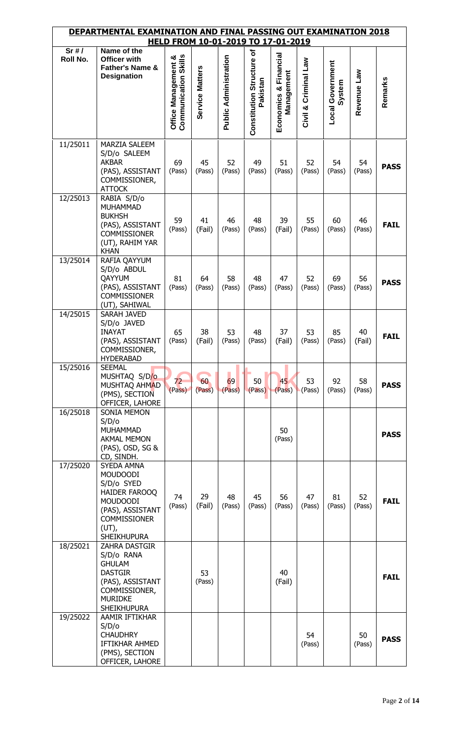|          | DEPARTMENTAL EXAMINATION AND FINAL PASSING OUT EXAMINATION 2018                                                                                                     |                                                    |                 | HELD FROM 10-01-2019 TO 17-01-2019 |                                       |                                        |                         |                                   |              |             |
|----------|---------------------------------------------------------------------------------------------------------------------------------------------------------------------|----------------------------------------------------|-----------------|------------------------------------|---------------------------------------|----------------------------------------|-------------------------|-----------------------------------|--------------|-------------|
| Sr#/     | Name of the                                                                                                                                                         |                                                    |                 |                                    |                                       |                                        |                         |                                   |              |             |
| Roll No. | <b>Officer with</b><br>Father's Name &<br><b>Designation</b>                                                                                                        | <b>Communication Skills</b><br>Office Management & | Service Matters | <b>Public Administration</b>       | Constitution Structure of<br>Pakistan | Financial<br>Management<br>Economics & | Criminal Law<br>Civil & | <b>Local Government</b><br>System | Revenue Law  | Remarks     |
| 11/25011 | <b>MARZIA SALEEM</b><br>S/D/o SALEEM<br><b>AKBAR</b><br>(PAS), ASSISTANT<br>COMMISSIONER,<br><b>ATTOCK</b>                                                          | 69<br>(Pass)                                       | 45<br>(Pass)    | 52<br>(Pass)                       | 49<br>(Pass)                          | 51<br>(Pass)                           | 52<br>(Pass)            | 54<br>(Pass)                      | 54<br>(Pass) | <b>PASS</b> |
| 12/25013 | RABIA S/D/o<br><b>MUHAMMAD</b><br><b>BUKHSH</b><br>(PAS), ASSISTANT<br><b>COMMISSIONER</b><br>(UT), RAHIM YAR<br><b>KHAN</b>                                        | 59<br>(Pass)                                       | 41<br>(Fail)    | 46<br>(Pass)                       | 48<br>(Pass)                          | 39<br>(Fail)                           | 55<br>(Pass)            | 60<br>(Pass)                      | 46<br>(Pass) | <b>FAIL</b> |
| 13/25014 | RAFIA QAYYUM<br>S/D/o ABDUL<br>QAYYUM<br>(PAS), ASSISTANT<br><b>COMMISSIONER</b><br>(UT), SAHIWAL                                                                   | 81<br>(Pass)                                       | 64<br>(Pass)    | 58<br>(Pass)                       | 48<br>(Pass)                          | 47<br>(Pass)                           | 52<br>(Pass)            | 69<br>(Pass)                      | 56<br>(Pass) | <b>PASS</b> |
| 14/25015 | SARAH JAVED<br>S/D/o JAVED<br><b>INAYAT</b><br>(PAS), ASSISTANT<br>COMMISSIONER,<br><b>HYDERABAD</b>                                                                | 65<br>(Pass)                                       | 38<br>(Fail)    | 53<br>(Pass)                       | 48<br>(Pass)                          | 37<br>(Fail)                           | 53<br>(Pass)            | 85<br>(Pass)                      | 40<br>(Fail) | <b>FAIL</b> |
| 15/25016 | <b>SEEMAL</b><br>MUSHTAQ S/D/o<br>MUSHTAQ AHMAD<br>(PMS), SECTION<br>OFFICER, LAHORE                                                                                | 72<br>(Pass)                                       | 60<br>(Pass)    | 69<br>(Pass)                       | 50<br>(Pass)                          | 45<br>(Pass)                           | 53<br>(Pass)            | 92<br>(Pass)                      | 58<br>(Pass) | <b>PASS</b> |
| 16/25018 | <b>SONIA MEMON</b><br>S/D/o<br><b>MUHAMMAD</b><br><b>AKMAL MEMON</b><br>(PAS), OSD, SG &<br>CD, SINDH.                                                              |                                                    |                 |                                    |                                       | 50<br>(Pass)                           |                         |                                   |              | <b>PASS</b> |
| 17/25020 | SYEDA AMNA<br><b>MOUDOODI</b><br>S/D/o SYED<br><b>HAIDER FAROOQ</b><br><b>MOUDOODI</b><br>(PAS), ASSISTANT<br><b>COMMISSIONER</b><br>$(UT)$ ,<br><b>SHEIKHUPURA</b> | 74<br>(Pass)                                       | 29<br>(Fail)    | 48<br>(Pass)                       | 45<br>(Pass)                          | 56<br>(Pass)                           | 47<br>(Pass)            | 81<br>(Pass)                      | 52<br>(Pass) | <b>FAIL</b> |
| 18/25021 | <b>ZAHRA DASTGIR</b><br>S/D/o RANA<br><b>GHULAM</b><br><b>DASTGIR</b><br>(PAS), ASSISTANT<br>COMMISSIONER,<br><b>MURIDKE</b><br><b>SHEIKHUPURA</b>                  |                                                    | 53<br>(Pass)    |                                    |                                       | 40<br>(Fail)                           |                         |                                   |              | <b>FAIL</b> |
| 19/25022 | AAMIR IFTIKHAR<br>S/D/O<br><b>CHAUDHRY</b><br>IFTIKHAR AHMED<br>(PMS), SECTION<br>OFFICER, LAHORE                                                                   |                                                    |                 |                                    |                                       |                                        | 54<br>(Pass)            |                                   | 50<br>(Pass) | <b>PASS</b> |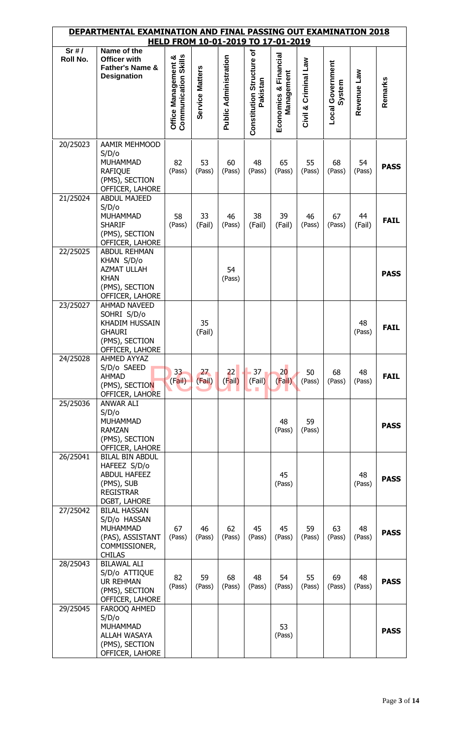|          | <u>DEPARTMENTAL EXAMINATION AND FINAL PASSING OUT EXAMINATION 2018</u>                                                 |                                                    |                 |                       |                                       | HELD FROM 10-01-2019 TO 17-01-2019  |                      |                            |              |             |
|----------|------------------------------------------------------------------------------------------------------------------------|----------------------------------------------------|-----------------|-----------------------|---------------------------------------|-------------------------------------|----------------------|----------------------------|--------------|-------------|
| Sr#/     | Name of the                                                                                                            |                                                    |                 |                       |                                       |                                     |                      |                            |              |             |
| Roll No. | <b>Officer with</b><br>Father's Name &<br><b>Designation</b>                                                           | <b>Communication Skills</b><br>Office Management & | Service Matters | Public Administration | Constitution Structure of<br>Pakistan | Economics & Financial<br>Management | Civil & Criminal Law | Local Government<br>System | Revenue Law  | Remarks     |
| 20/25023 | AAMIR MEHMOOD<br>S/D/O<br><b>MUHAMMAD</b><br><b>RAFIQUE</b><br>(PMS), SECTION<br>OFFICER, LAHORE                       | 82<br>(Pass)                                       | 53<br>(Pass)    | 60<br>(Pass)          | 48<br>(Pass)                          | 65<br>(Pass)                        | 55<br>(Pass)         | 68<br>(Pass)               | 54<br>(Pass) | <b>PASS</b> |
| 21/25024 | <b>ABDUL MAJEED</b><br>S/D/o<br><b>MUHAMMAD</b><br><b>SHARIF</b><br>(PMS), SECTION<br>OFFICER, LAHORE                  | 58<br>(Pass)                                       | 33<br>(Fail)    | 46<br>(Pass)          | 38<br>(Fail)                          | 39<br>(Fail)                        | 46<br>(Pass)         | 67<br>(Pass)               | 44<br>(Fail) | <b>FAIL</b> |
| 22/25025 | <b>ABDUL REHMAN</b><br>KHAN S/D/o<br><b>AZMAT ULLAH</b><br><b>KHAN</b><br>(PMS), SECTION<br>OFFICER, LAHORE            |                                                    |                 | 54<br>(Pass)          |                                       |                                     |                      |                            |              | <b>PASS</b> |
| 23/25027 | <b>AHMAD NAVEED</b><br>SOHRI S/D/o<br><b>KHADIM HUSSAIN</b><br><b>GHAURI</b><br>(PMS), SECTION<br>OFFICER, LAHORE      |                                                    | 35<br>(Fail)    |                       |                                       |                                     |                      |                            | 48<br>(Pass) | <b>FAIL</b> |
| 24/25028 | AHMED AYYAZ<br>S/D/o SAEED<br><b>AHMAD</b><br>(PMS), SECTION<br>OFFICER, LAHORE                                        | 33 <sup>2</sup><br>(Fail)                          | 27<br>(Fail)    | 22<br>(Fail)          | 37 <sub>1</sub><br>(Fail)<br>a a      | 20<br>(Fail)                        | 50<br>(Pass)         | 68<br>(Pass)               | 48<br>(Pass) | <b>FAIL</b> |
| 25/25036 | <b>ANWAR ALI</b><br>S/D/o<br><b>MUHAMMAD</b><br><b>RAMZAN</b><br>(PMS), SECTION<br>OFFICER, LAHORE                     |                                                    |                 |                       |                                       | 48<br>(Pass)                        | 59<br>(Pass)         |                            |              | <b>PASS</b> |
| 26/25041 | <b>BILAL BIN ABDUL</b><br>HAFEEZ S/D/o<br><b>ABDUL HAFEEZ</b><br>(PMS), SUB<br><b>REGISTRAR</b><br><b>DGBT, LAHORE</b> |                                                    |                 |                       |                                       | 45<br>(Pass)                        |                      |                            | 48<br>(Pass) | <b>PASS</b> |
| 27/25042 | <b>BILAL HASSAN</b><br>S/D/o HASSAN<br>MUHAMMAD<br>(PAS), ASSISTANT<br>COMMISSIONER,<br><b>CHILAS</b>                  | 67<br>(Pass)                                       | 46<br>(Pass)    | 62<br>(Pass)          | 45<br>(Pass)                          | 45<br>(Pass)                        | 59<br>(Pass)         | 63<br>(Pass)               | 48<br>(Pass) | <b>PASS</b> |
| 28/25043 | <b>BILAWAL ALI</b><br>S/D/o ATTIQUE<br>UR REHMAN<br>(PMS), SECTION<br>OFFICER, LAHORE                                  | 82<br>(Pass)                                       | 59<br>(Pass)    | 68<br>(Pass)          | 48<br>(Pass)                          | 54<br>(Pass)                        | 55<br>(Pass)         | 69<br>(Pass)               | 48<br>(Pass) | <b>PASS</b> |
| 29/25045 | FAROOQ AHMED<br>S/D/o<br><b>MUHAMMAD</b><br>ALLAH WASAYA<br>(PMS), SECTION<br>OFFICER, LAHORE                          |                                                    |                 |                       |                                       | 53<br>(Pass)                        |                      |                            |              | <b>PASS</b> |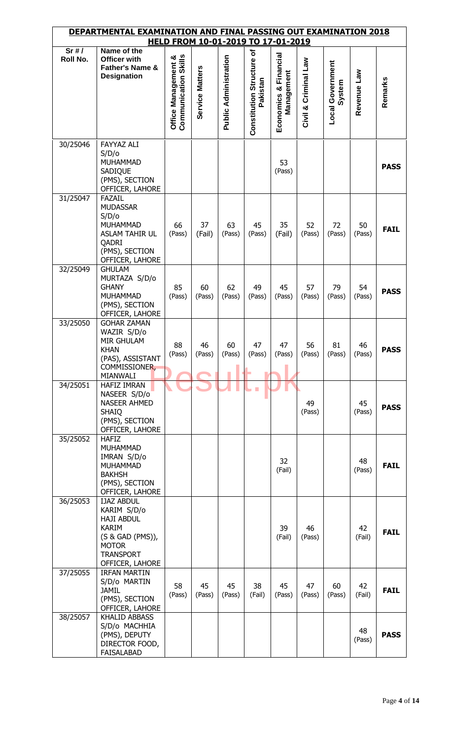|                      | DEPARTMENTAL EXAMINATION AND FINAL PASSING OUT EXAMINATION 2018                                                                                  |                                                    |                 | HELD FROM 10-01-2019 TO 17-01-2019 |                                       |                                     |                         |                                   |              |             |
|----------------------|--------------------------------------------------------------------------------------------------------------------------------------------------|----------------------------------------------------|-----------------|------------------------------------|---------------------------------------|-------------------------------------|-------------------------|-----------------------------------|--------------|-------------|
| Sr#/                 | Name of the                                                                                                                                      |                                                    |                 |                                    |                                       |                                     |                         |                                   |              |             |
| Roll No.             | Officer with<br>Father's Name &<br><b>Designation</b>                                                                                            | <b>Communication Skills</b><br>Office Management & | Service Matters | <b>Public Administration</b>       | Constitution Structure of<br>Pakistan | Economics & Financial<br>Management | Criminal Law<br>Civil & | <b>Local Government</b><br>System | Revenue Law  | Remarks     |
| 30/25046             | <b>FAYYAZ ALI</b><br>S/D/O<br><b>MUHAMMAD</b><br>SADIQUE<br>(PMS), SECTION<br>OFFICER, LAHORE                                                    |                                                    |                 |                                    |                                       | 53<br>(Pass)                        |                         |                                   |              | <b>PASS</b> |
| 31/25047             | <b>FAZAIL</b><br><b>MUDASSAR</b><br>S/D/o<br><b>MUHAMMAD</b><br>ASLAM TAHIR UL<br>QADRI<br>(PMS), SECTION<br>OFFICER, LAHORE                     | 66<br>(Pass)                                       | 37<br>(Fail)    | 63<br>(Pass)                       | 45<br>(Pass)                          | 35<br>(Fail)                        | 52<br>(Pass)            | 72<br>(Pass)                      | 50<br>(Pass) | <b>FAIL</b> |
| 32/25049             | <b>GHULAM</b><br>MURTAZA S/D/o<br><b>GHANY</b><br><b>MUHAMMAD</b><br>(PMS), SECTION<br>OFFICER, LAHORE                                           | 85<br>(Pass)                                       | 60<br>(Pass)    | 62<br>(Pass)                       | 49<br>(Pass)                          | 45<br>(Pass)                        | 57<br>(Pass)            | 79<br>(Pass)                      | 54<br>(Pass) | <b>PASS</b> |
| 33/25050             | <b>GOHAR ZAMAN</b><br>WAZIR S/D/o<br><b>MIR GHULAM</b><br><b>KHAN</b><br>(PAS), ASSISTANT<br>COMMISSIONER,<br>MIANWALI                           | 88<br>(Pass)                                       | 46              | 60<br>$(Pass)$ $(Pass)$ $(Pass)$   | 47                                    | 47<br>(Pass)                        | 56<br>(Pass)            | 81<br>(Pass)                      | 46<br>(Pass) | <b>PASS</b> |
| 34/25051<br>35/25052 | <b>HAFIZ IMRAN</b><br>NASEER S/D/o<br><b>NASEER AHMED</b><br><b>SHAIQ</b><br>(PMS), SECTION<br>OFFICER, LAHORE<br><b>HAFIZ</b>                   |                                                    |                 |                                    |                                       |                                     | 49<br>(Pass)            |                                   | 45<br>(Pass) | <b>PASS</b> |
|                      | <b>MUHAMMAD</b><br>IMRAN S/D/o<br><b>MUHAMMAD</b><br><b>BAKHSH</b><br>(PMS), SECTION<br>OFFICER, LAHORE                                          |                                                    |                 |                                    |                                       | 32<br>(Fail)                        |                         |                                   | 48<br>(Pass) | <b>FAIL</b> |
| 36/25053             | <b>IJAZ ABDUL</b><br>KARIM S/D/o<br><b>HAJI ABDUL</b><br><b>KARIM</b><br>(S & GAD (PMS)),<br><b>MOTOR</b><br><b>TRANSPORT</b><br>OFFICER, LAHORE |                                                    |                 |                                    |                                       | 39<br>(Fail)                        | 46<br>(Pass)            |                                   | 42<br>(Fail) | <b>FAIL</b> |
| 37/25055<br>38/25057 | <b>IRFAN MARTIN</b><br>S/D/o MARTIN<br>JAMIL<br>(PMS), SECTION<br>OFFICER, LAHORE<br><b>KHALID ABBASS</b>                                        | 58<br>(Pass)                                       | 45<br>(Pass)    | 45<br>(Pass)                       | 38<br>(Fail)                          | 45<br>(Pass)                        | 47<br>(Pass)            | 60<br>(Pass)                      | 42<br>(Fail) | <b>FAIL</b> |
|                      | S/D/o MACHHIA<br>(PMS), DEPUTY<br>DIRECTOR FOOD,<br><b>FAISALABAD</b>                                                                            |                                                    |                 |                                    |                                       |                                     |                         |                                   | 48<br>(Pass) | <b>PASS</b> |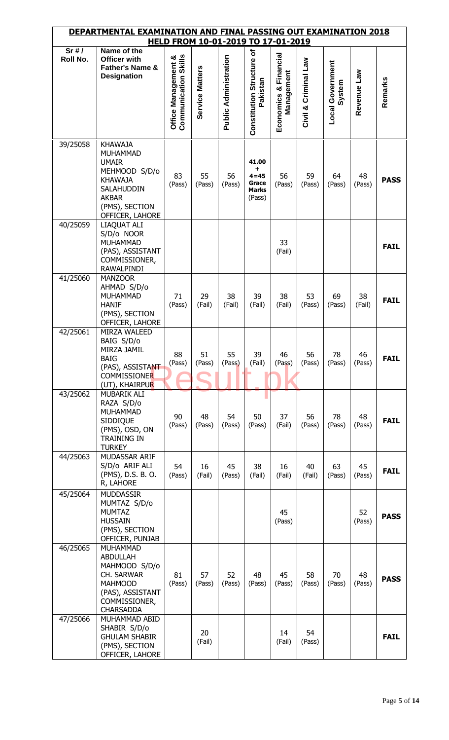|          | DEPARTMENTAL EXAMINATION AND FINAL PASSING OUT EXAMINATION 2018<br>HELD FROM 10-01-2019 TO 17-01-2019                                                   |                                             |                 |                              |                                                           |                                        |                      |                                   |              |             |  |  |
|----------|---------------------------------------------------------------------------------------------------------------------------------------------------------|---------------------------------------------|-----------------|------------------------------|-----------------------------------------------------------|----------------------------------------|----------------------|-----------------------------------|--------------|-------------|--|--|
| Sr#/     | Name of the                                                                                                                                             |                                             |                 |                              |                                                           |                                        |                      |                                   |              |             |  |  |
| Roll No. | Officer with<br>Father's Name &<br><b>Designation</b>                                                                                                   | Communication Skills<br>Office Management & | Service Matters | <b>Public Administration</b> | Constitution Structure of<br>Pakistan                     | Financial<br>Management<br>Economics & | Civil & Criminal Law | <b>Local Government</b><br>System | Revenue Law  | Remarks     |  |  |
| 39/25058 | <b>KHAWAJA</b><br><b>MUHAMMAD</b><br><b>UMAIR</b><br>MEHMOOD S/D/o<br><b>KHAWAJA</b><br>SALAHUDDIN<br><b>AKBAR</b><br>(PMS), SECTION<br>OFFICER, LAHORE | 83<br>(Pass)                                | 55<br>(Pass)    | 56<br>(Pass)                 | 41.00<br>÷<br>$4 = 45$<br>Grace<br><b>Marks</b><br>(Pass) | 56<br>(Pass)                           | 59<br>(Pass)         | 64<br>(Pass)                      | 48<br>(Pass) | <b>PASS</b> |  |  |
| 40/25059 | LIAQUAT ALI<br>S/D/o NOOR<br>MUHAMMAD<br>(PAS), ASSISTANT<br>COMMISSIONER,<br>RAWALPINDI                                                                |                                             |                 |                              |                                                           | 33<br>(Fail)                           |                      |                                   |              | <b>FAIL</b> |  |  |
| 41/25060 | <b>MANZOOR</b><br>AHMAD S/D/o<br>MUHAMMAD<br><b>HANIF</b><br>(PMS), SECTION<br>OFFICER, LAHORE                                                          | 71<br>(Pass)                                | 29<br>(Fail)    | 38<br>(Fail)                 | 39<br>(Fail)                                              | 38<br>(Fail)                           | 53<br>(Pass)         | 69<br>(Pass)                      | 38<br>(Fail) | <b>FAIL</b> |  |  |
| 42/25061 | MIRZA WALEED<br>BAIG S/D/o<br>MIRZA JAMIL<br><b>BAIG</b><br>(PAS), ASSISTANT<br><b>COMMISSIONER</b><br>(UT), KHAIRPUR                                   | 88<br>(Pass)                                | 51<br>(Pass)    | 55<br>(Pass)                 | 39<br>(Fail)                                              | 46<br>(Pass)                           | 56<br>(Pass)         | 78<br>(Pass)                      | 46<br>(Pass) | <b>FAIL</b> |  |  |
| 43/25062 | MUBARIK ALI<br>RAZA S/D/o<br>MUHAMMAD<br><b>SIDDIQUE</b><br>(PMS), OSD, ON<br><b>TRAINING IN</b><br><b>TURKEY</b>                                       | 90<br>(Pass)                                | 48<br>(Pass)    | 54<br>(Pass)                 | 50<br>(Pass)                                              | 37<br>(Fail)                           | 56<br>(Pass)         | 78<br>(Pass)                      | 48<br>(Pass) | <b>FAIL</b> |  |  |
| 44/25063 | MUDASSAR ARIF<br>S/D/o ARIF ALI<br>(PMS), D.S. B. O.<br>R, LAHORE                                                                                       | 54<br>(Pass)                                | 16<br>(Fail)    | 45<br>(Pass)                 | 38<br>(Fail)                                              | 16<br>(Fail)                           | 40<br>(Fail)         | 63<br>(Pass)                      | 45<br>(Pass) | <b>FAIL</b> |  |  |
| 45/25064 | <b>MUDDASSIR</b><br>MUMTAZ S/D/o<br><b>MUMTAZ</b><br><b>HUSSAIN</b><br>(PMS), SECTION<br>OFFICER, PUNJAB                                                |                                             |                 |                              |                                                           | 45<br>(Pass)                           |                      |                                   | 52<br>(Pass) | <b>PASS</b> |  |  |
| 46/25065 | MUHAMMAD<br><b>ABDULLAH</b><br>MAHMOOD S/D/o<br>CH. SARWAR<br><b>MAHMOOD</b><br>(PAS), ASSISTANT<br>COMMISSIONER,<br><b>CHARSADDA</b>                   | 81<br>(Pass)                                | 57<br>(Pass)    | 52<br>(Pass)                 | 48<br>(Pass)                                              | 45<br>(Pass)                           | 58<br>(Pass)         | 70<br>(Pass)                      | 48<br>(Pass) | <b>PASS</b> |  |  |
| 47/25066 | MUHAMMAD ABID<br>SHABIR S/D/o<br><b>GHULAM SHABIR</b><br>(PMS), SECTION<br>OFFICER, LAHORE                                                              |                                             | 20<br>(Fail)    |                              |                                                           | 14<br>(Fail)                           | 54<br>(Pass)         |                                   |              | <b>FAIL</b> |  |  |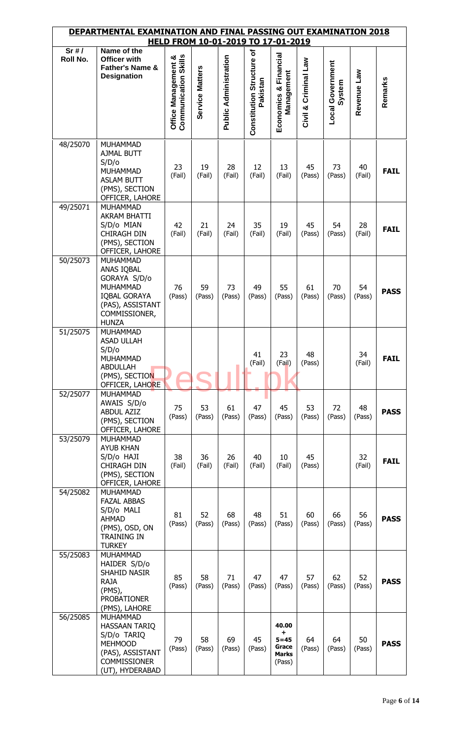|          | DEPARTMENTAL EXAMINATION AND FINAL PASSING OUT EXAMINATION 2018                                                                              |                                                    |                 |                              |                                       | HELD FROM 10-01-2019 TO 17-01-2019                  |                         |                                   |              |             |
|----------|----------------------------------------------------------------------------------------------------------------------------------------------|----------------------------------------------------|-----------------|------------------------------|---------------------------------------|-----------------------------------------------------|-------------------------|-----------------------------------|--------------|-------------|
| Sr#/     | Name of the                                                                                                                                  |                                                    |                 |                              |                                       |                                                     |                         |                                   |              |             |
| Roll No. | Officer with<br><b>Father's Name &amp;</b><br><b>Designation</b>                                                                             | <b>Communication Skills</b><br>Office Management & | Service Matters | <b>Public Administration</b> | Constitution Structure of<br>Pakistan | Economics & Financial<br>Management                 | Criminal Law<br>Civil & | <b>Local Government</b><br>System | Revenue Law  | Remarks     |
| 48/25070 | <b>MUHAMMAD</b>                                                                                                                              |                                                    |                 |                              |                                       |                                                     |                         |                                   |              |             |
|          | <b>AJMAL BUTT</b><br>S/D/o<br>MUHAMMAD<br><b>ASLAM BUTT</b><br>(PMS), SECTION<br>OFFICER, LAHORE                                             | 23<br>(Fail)                                       | 19<br>(Fail)    | 28<br>(Fail)                 | 12<br>(Fail)                          | 13<br>(Fail)                                        | 45<br>(Pass)            | 73<br>(Pass)                      | 40<br>(Fail) | <b>FAIL</b> |
| 49/25071 | <b>MUHAMMAD</b><br><b>AKRAM BHATTI</b><br>S/D/o MIAN<br><b>CHIRAGH DIN</b><br>(PMS), SECTION<br>OFFICER, LAHORE                              | 42<br>(Fail)                                       | 21<br>(Fail)    | 24<br>(Fail)                 | 35<br>(Fail)                          | 19<br>(Fail)                                        | 45<br>(Pass)            | 54<br>(Pass)                      | 28<br>(Fail) | <b>FAIL</b> |
| 50/25073 | <b>MUHAMMAD</b><br>ANAS IQBAL<br>GORAYA S/D/o<br><b>MUHAMMAD</b><br><b>IQBAL GORAYA</b><br>(PAS), ASSISTANT<br>COMMISSIONER,<br><b>HUNZA</b> | 76<br>(Pass)                                       | 59<br>(Pass)    | 73<br>(Pass)                 | 49<br>(Pass)                          | 55<br>(Pass)                                        | 61<br>(Pass)            | 70<br>(Pass)                      | 54<br>(Pass) | <b>PASS</b> |
| 51/25075 | <b>MUHAMMAD</b><br><b>ASAD ULLAH</b><br>S/D/o<br><b>MUHAMMAD</b><br><b>ABDULLAH</b><br>(PMS), SECTION<br>OFFICER, LAHORE                     |                                                    |                 |                              | 41<br>(Fail)                          | 23<br>(Fail)                                        | 48<br>(Pass)            |                                   | 34<br>(Fail) | <b>FAIL</b> |
| 52/25077 | <b>MUHAMMAD</b><br>AWAIS S/D/o<br><b>ABDUL AZIZ</b><br>(PMS), SECTION<br>OFFICER, LAHORE                                                     | 75<br>(Pass)                                       | 53<br>(Pass)    | 61<br>(Pass)                 | 47<br>(Pass)                          | 45<br>(Pass)                                        | 53<br>(Pass)            | 72<br>(Pass)                      | 48<br>(Pass) | <b>PASS</b> |
| 53/25079 | <b>MUHAMMAD</b><br><b>AYUB KHAN</b><br>S/D/o HAJI<br>CHIRAGH DIN<br>(PMS), SECTION<br>OFFICER, LAHORE                                        | 38<br>(Fail)                                       | 36<br>(Fail)    | 26<br>(Fail)                 | 40<br>(Fail)                          | $10\,$<br>(Fail)                                    | 45<br>(Pass)            |                                   | 32<br>(Fail) | <b>FAIL</b> |
| 54/25082 | <b>MUHAMMAD</b><br><b>FAZAL ABBAS</b><br>S/D/o MALI<br><b>AHMAD</b><br>(PMS), OSD, ON<br><b>TRAINING IN</b><br><b>TURKEY</b>                 | 81<br>(Pass)                                       | 52<br>(Pass)    | 68<br>(Pass)                 | 48<br>(Pass)                          | 51<br>(Pass)                                        | 60<br>(Pass)            | 66<br>(Pass)                      | 56<br>(Pass) | <b>PASS</b> |
| 55/25083 | <b>MUHAMMAD</b><br>HAIDER S/D/o<br>SHAHID NASIR<br><b>RAJA</b><br>(PMS),<br><b>PROBATIONER</b><br>(PMS), LAHORE                              | 85<br>(Pass)                                       | 58<br>(Pass)    | 71<br>(Pass)                 | 47<br>(Pass)                          | 47<br>(Pass)                                        | 57<br>(Pass)            | 62<br>(Pass)                      | 52<br>(Pass) | <b>PASS</b> |
| 56/25085 | <b>MUHAMMAD</b><br><b>HASSAAN TARIQ</b><br>S/D/o TARIQ<br><b>MEHMOOD</b><br>(PAS), ASSISTANT<br><b>COMMISSIONER</b><br>(UT), HYDERABAD       | 79<br>(Pass)                                       | 58<br>(Pass)    | 69<br>(Pass)                 | 45<br>(Pass)                          | 40.00<br>٠.<br>$5 = 45$<br>Grace<br>Marks<br>(Pass) | 64<br>(Pass)            | 64<br>(Pass)                      | 50<br>(Pass) | <b>PASS</b> |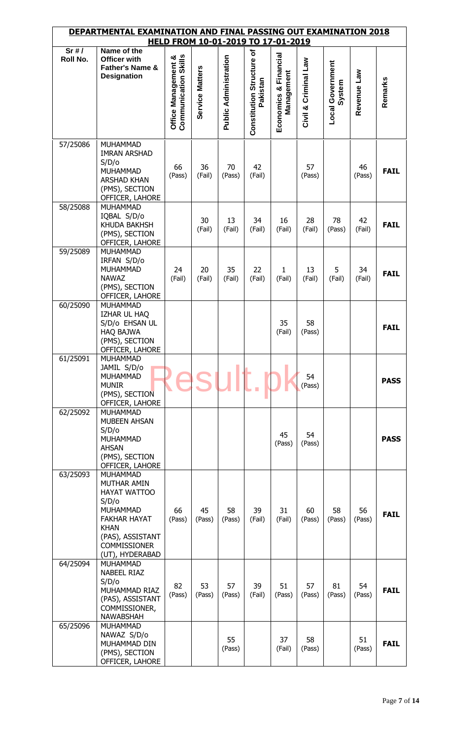| <u>DEPARTMENTAL EXAMINATION AND FINAL PASSING OUT EXAMINATION 2018</u><br>HELD FROM 10-01-2019 TO 17-01-2019 |                                                                                                                                                                                |                                                    |                 |                              |                                       |                                     |                      |                                   |              |             |  |
|--------------------------------------------------------------------------------------------------------------|--------------------------------------------------------------------------------------------------------------------------------------------------------------------------------|----------------------------------------------------|-----------------|------------------------------|---------------------------------------|-------------------------------------|----------------------|-----------------------------------|--------------|-------------|--|
| Sr#/                                                                                                         | Name of the                                                                                                                                                                    |                                                    |                 |                              |                                       |                                     |                      |                                   |              |             |  |
| Roll No.                                                                                                     | Officer with<br>Father's Name &<br><b>Designation</b>                                                                                                                          | <b>Communication Skills</b><br>Office Management & | Service Matters | <b>Public Administration</b> | Constitution Structure of<br>Pakistan | Economics & Financial<br>Management | Civil & Criminal Law | <b>Local Government</b><br>System | Revenue Law  | Remarks     |  |
| 57/25086                                                                                                     | MUHAMMAD<br><b>IMRAN ARSHAD</b><br>S/D/O<br><b>MUHAMMAD</b><br><b>ARSHAD KHAN</b><br>(PMS), SECTION<br>OFFICER, LAHORE                                                         | 66<br>(Pass)                                       | 36<br>(Fail)    | 70<br>(Pass)                 | 42<br>(Fail)                          |                                     | 57<br>(Pass)         |                                   | 46<br>(Pass) | <b>FAIL</b> |  |
| 58/25088                                                                                                     | <b>MUHAMMAD</b><br>IQBAL S/D/o<br>KHUDA BAKHSH<br>(PMS), SECTION<br>OFFICER, LAHORE                                                                                            |                                                    | 30<br>(Fail)    | 13<br>(Fail)                 | 34<br>(Fail)                          | 16<br>(Fail)                        | 28<br>(Fail)         | 78<br>(Pass)                      | 42<br>(Fail) | <b>FAIL</b> |  |
| 59/25089                                                                                                     | <b>MUHAMMAD</b><br>IRFAN S/D/o<br><b>MUHAMMAD</b><br><b>NAWAZ</b><br>(PMS), SECTION<br>OFFICER, LAHORE                                                                         | 24<br>(Fail)                                       | 20<br>(Fail)    | 35<br>(Fail)                 | 22<br>(Fail)                          | 1<br>(Fail)                         | 13<br>(Fail)         | 5<br>(Fail)                       | 34<br>(Fail) | <b>FAIL</b> |  |
| 60/25090                                                                                                     | <b>MUHAMMAD</b><br>IZHAR UL HAQ<br>S/D/o EHSAN UL<br><b>HAQ BAJWA</b><br>(PMS), SECTION<br>OFFICER, LAHORE                                                                     |                                                    |                 |                              |                                       | 35<br>(Fail)                        | 58<br>(Pass)         |                                   |              | <b>FAIL</b> |  |
| 61/25091                                                                                                     | <b>MUHAMMAD</b><br>JAMIL S/D/o<br><b>MUHAMMAD</b><br><b>MUNIR</b><br>(PMS), SECTION<br>OFFICER, LAHORE                                                                         |                                                    |                 |                              |                                       |                                     | 54<br>(Pass)         |                                   |              | <b>PASS</b> |  |
| 62/25092                                                                                                     | <b>MUHAMMAD</b><br><b>MUBEEN AHSAN</b><br>S/D/O<br><b>MUHAMMAD</b><br><b>AHSAN</b><br>(PMS), SECTION<br>OFFICER, LAHORE                                                        |                                                    |                 |                              |                                       | 45<br>(Pass)                        | 54<br>(Pass)         |                                   |              | <b>PASS</b> |  |
| 63/25093                                                                                                     | <b>MUHAMMAD</b><br>MUTHAR AMIN<br>HAYAT WATTOO<br>S/D/O<br><b>MUHAMMAD</b><br><b>FAKHAR HAYAT</b><br><b>KHAN</b><br>(PAS), ASSISTANT<br><b>COMMISSIONER</b><br>(UT), HYDERABAD | 66<br>(Pass)                                       | 45<br>(Pass)    | 58<br>(Pass)                 | 39<br>(Fail)                          | 31<br>(Fail)                        | 60<br>(Pass)         | 58<br>(Pass)                      | 56<br>(Pass) | <b>FAIL</b> |  |
| 64/25094                                                                                                     | MUHAMMAD<br>NABEEL RIAZ<br>S/D/o<br>MUHAMMAD RIAZ<br>(PAS), ASSISTANT<br>COMMISSIONER,<br><b>NAWABSHAH</b>                                                                     | 82<br>(Pass)                                       | 53<br>(Pass)    | 57<br>(Pass)                 | 39<br>(Fail)                          | 51<br>(Pass)                        | 57<br>(Pass)         | 81<br>(Pass)                      | 54<br>(Pass) | <b>FAIL</b> |  |
| 65/25096                                                                                                     | <b>MUHAMMAD</b><br>NAWAZ S/D/o<br>MUHAMMAD DIN<br>(PMS), SECTION<br>OFFICER, LAHORE                                                                                            |                                                    |                 | 55<br>(Pass)                 |                                       | 37<br>(Fail)                        | 58<br>(Pass)         |                                   | 51<br>(Pass) | <b>FAIL</b> |  |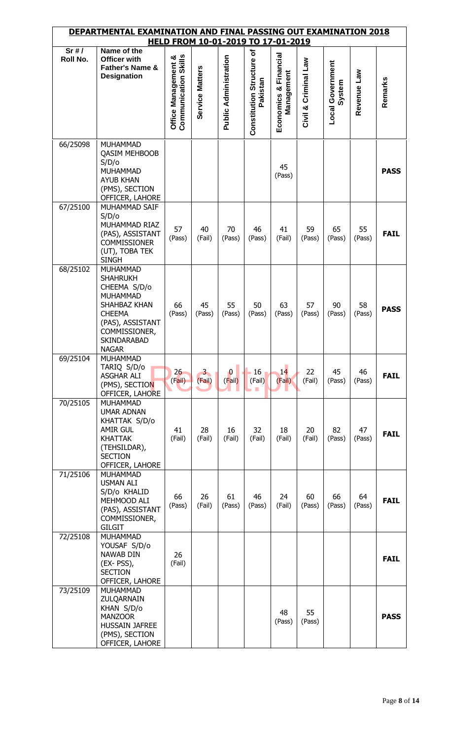|          | DEPARTMENTAL EXAMINATION AND FINAL PASSING OUT EXAMINATION 2018                                                                                                                   |                                                    |                          | HELD FROM 10-01-2019 TO 17-01-2019 |                                               |                                        |                         |                                   |              |             |
|----------|-----------------------------------------------------------------------------------------------------------------------------------------------------------------------------------|----------------------------------------------------|--------------------------|------------------------------------|-----------------------------------------------|----------------------------------------|-------------------------|-----------------------------------|--------------|-------------|
| Sr#/     | Name of the                                                                                                                                                                       |                                                    |                          |                                    |                                               |                                        |                         |                                   |              |             |
| Roll No. | Officer with<br><b>Father's Name &amp;</b><br><b>Designation</b>                                                                                                                  | <b>Communication Skills</b><br>Office Management & | Service Matters          | <b>Public Administration</b>       | Constitution Structure of<br>Pakistan         | Financial<br>Management<br>Economics & | Criminal Law<br>Civil & | <b>Local Government</b><br>System | Revenue Law  | Remarks     |
| 66/25098 | <b>MUHAMMAD</b><br><b>QASIM MEHBOOB</b><br>S/D/o<br><b>MUHAMMAD</b><br><b>AYUB KHAN</b><br>(PMS), SECTION<br>OFFICER, LAHORE                                                      |                                                    |                          |                                    |                                               | 45<br>(Pass)                           |                         |                                   |              | <b>PASS</b> |
| 67/25100 | MUHAMMAD SAIF<br>S/D/o<br>MUHAMMAD RIAZ<br>(PAS), ASSISTANT<br><b>COMMISSIONER</b><br>(UT), TOBA TEK<br><b>SINGH</b>                                                              | 57<br>(Pass)                                       | 40<br>(Fail)             | 70<br>(Pass)                       | 46<br>(Pass)                                  | 41<br>(Fail)                           | 59<br>(Pass)            | 65<br>(Pass)                      | 55<br>(Pass) | <b>FAIL</b> |
| 68/25102 | <b>MUHAMMAD</b><br><b>SHAHRUKH</b><br>CHEEMA S/D/o<br><b>MUHAMMAD</b><br>SHAHBAZ KHAN<br><b>CHEEMA</b><br>(PAS), ASSISTANT<br>COMMISSIONER,<br><b>SKINDARABAD</b><br><b>NAGAR</b> | 66<br>(Pass)                                       | 45<br>(Pass)             | 55<br>(Pass)                       | 50<br>(Pass)                                  | 63<br>(Pass)                           | 57<br>(Pass)            | 90<br>(Pass)                      | 58<br>(Pass) | <b>PASS</b> |
| 69/25104 | <b>MUHAMMAD</b><br>TARIQ S/D/o<br><b>ASGHAR ALI</b><br>(PMS), SECTION<br>OFFICER, LAHORE                                                                                          | 26<br>(Fail)                                       | 3 <sub>1</sub><br>(Fail) | $\bf{0}$<br>(Fail)                 | 16 <sub>1</sub><br>(Fail)<br><b>The State</b> | 14<br>(Fail)                           | 22<br>(Fail)            | 45<br>(Pass)                      | 46<br>(Pass) | <b>FAIL</b> |
| 70/25105 | <b>MUHAMMAD</b><br><b>UMAR ADNAN</b><br>KHATTAK S/D/o<br><b>AMIR GUL</b><br><b>KHATTAK</b><br>(TEHSILDAR),<br><b>SECTION</b><br>OFFICER, LAHORE                                   | 41<br>(Fail)                                       | 28<br>(Fail)             | 16<br>(Fail)                       | 32<br>(Fail)                                  | 18<br>(Fail)                           | 20<br>(Fail)            | 82<br>(Pass)                      | 47<br>(Pass) | <b>FAIL</b> |
| 71/25106 | <b>MUHAMMAD</b><br><b>USMAN ALI</b><br>S/D/o KHALID<br>MEHMOOD ALI<br>(PAS), ASSISTANT<br>COMMISSIONER,<br><b>GILGIT</b>                                                          | 66<br>(Pass)                                       | 26<br>(Fail)             | 61<br>(Pass)                       | 46<br>(Pass)                                  | 24<br>(Fail)                           | 60<br>(Pass)            | 66<br>(Pass)                      | 64<br>(Pass) | <b>FAIL</b> |
| 72/25108 | <b>MUHAMMAD</b><br>YOUSAF S/D/o<br>NAWAB DIN<br>(EX-PSS),<br><b>SECTION</b><br>OFFICER, LAHORE                                                                                    | 26<br>(Fail)                                       |                          |                                    |                                               |                                        |                         |                                   |              | <b>FAIL</b> |
| 73/25109 | MUHAMMAD<br>ZULQARNAIN<br>KHAN S/D/o<br><b>MANZOOR</b><br><b>HUSSAIN JAFREE</b><br>(PMS), SECTION<br>OFFICER, LAHORE                                                              |                                                    |                          |                                    |                                               | 48<br>(Pass)                           | 55<br>(Pass)            |                                   |              | <b>PASS</b> |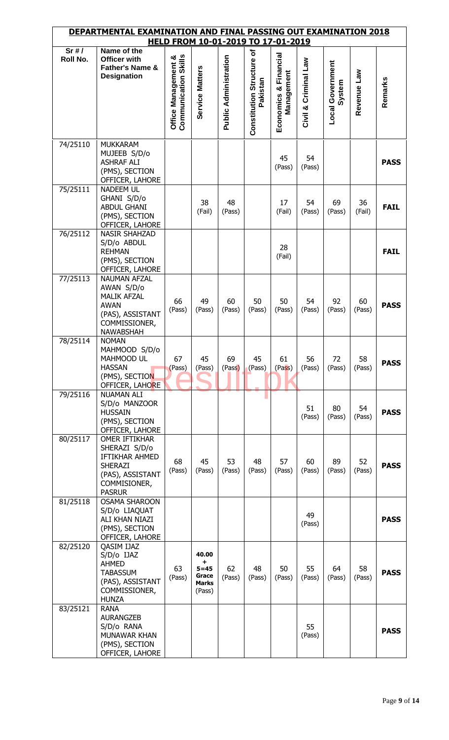|          | DEPARTMENTAL EXAMINATION AND FINAL PASSING OUT EXAMINATION 2018                                                                 |                                                    |                                                           |                              |                                       | HELD FROM 10-01-2019 TO 17-01-2019     |                         |                                   |              |             |
|----------|---------------------------------------------------------------------------------------------------------------------------------|----------------------------------------------------|-----------------------------------------------------------|------------------------------|---------------------------------------|----------------------------------------|-------------------------|-----------------------------------|--------------|-------------|
| Sr#/     | Name of the                                                                                                                     |                                                    |                                                           |                              |                                       |                                        |                         |                                   |              |             |
| Roll No. | <b>Officer with</b><br>Father's Name &<br><b>Designation</b>                                                                    | <b>Communication Skills</b><br>Office Management & | Service Matters                                           | <b>Public Administration</b> | Constitution Structure of<br>Pakistan | Financial<br>Management<br>Economics & | Criminal Law<br>Civil & | <b>Local Government</b><br>System | Revenue Law  | Remarks     |
| 74/25110 | <b>MUKKARAM</b><br>MUJEEB S/D/o<br><b>ASHRAF ALI</b><br>(PMS), SECTION<br>OFFICER, LAHORE                                       |                                                    |                                                           |                              |                                       | 45<br>(Pass)                           | 54<br>(Pass)            |                                   |              | <b>PASS</b> |
| 75/25111 | <b>NADEEM UL</b><br>GHANI S/D/o<br><b>ABDUL GHANI</b><br>(PMS), SECTION<br>OFFICER, LAHORE                                      |                                                    | 38<br>(Fail)                                              | 48<br>(Pass)                 |                                       | 17<br>(Fail)                           | 54<br>(Pass)            | 69<br>(Pass)                      | 36<br>(Fail) | <b>FAIL</b> |
| 76/25112 | <b>NASIR SHAHZAD</b><br>S/D/o ABDUL<br><b>REHMAN</b><br>(PMS), SECTION<br>OFFICER, LAHORE                                       |                                                    |                                                           |                              |                                       | 28<br>(Fail)                           |                         |                                   |              | <b>FAIL</b> |
| 77/25113 | <b>NAUMAN AFZAL</b><br>AWAN S/D/o<br><b>MALIK AFZAL</b><br><b>AWAN</b><br>(PAS), ASSISTANT<br>COMMISSIONER,<br><b>NAWABSHAH</b> | 66<br>(Pass)                                       | 49<br>(Pass)                                              | 60<br>(Pass)                 | 50<br>(Pass)                          | 50<br>(Pass)                           | 54<br>(Pass)            | 92<br>(Pass)                      | 60<br>(Pass) | <b>PASS</b> |
| 78/25114 | <b>NOMAN</b><br>MAHMOOD S/D/o<br>MAHMOOD UL<br><b>HASSAN</b><br>(PMS), SECTION<br>OFFICER, LAHORE                               | 67<br>(Pass)                                       | 45<br>(Pass)                                              | 69<br>(Pass)                 | 45<br>(Pass)                          | 61<br>(Pass)                           | 56<br>(Pass)            | 72<br>(Pass)                      | 58<br>(Pass) | <b>PASS</b> |
| 79/25116 | <b>NUAMAN ALI</b><br>S/D/o MANZOOR<br><b>HUSSAIN</b><br>(PMS), SECTION<br>OFFICER, LAHORE                                       |                                                    |                                                           |                              |                                       |                                        | 51<br>(Pass)            | 80<br>(Pass)                      | 54<br>(Pass) | <b>PASS</b> |
| 80/25117 | <b>OMER IFTIKHAR</b><br>SHERAZI S/D/o<br>IFTIKHAR AHMED<br><b>SHERAZI</b><br>(PAS), ASSISTANT<br>COMMISIONER,<br><b>PASRUR</b>  | 68<br>(Pass)                                       | 45<br>(Pass)                                              | 53<br>(Pass)                 | 48<br>(Pass)                          | 57<br>(Pass)                           | 60<br>(Pass)            | 89<br>(Pass)                      | 52<br>(Pass) | <b>PASS</b> |
| 81/25118 | <b>OSAMA SHAROON</b><br>S/D/o LIAQUAT<br>ALI KHAN NIAZI<br>(PMS), SECTION<br>OFFICER, LAHORE                                    |                                                    |                                                           |                              |                                       |                                        | 49<br>(Pass)            |                                   |              | <b>PASS</b> |
| 82/25120 | <b>QASIM IJAZ</b><br>S/D/o IJAZ<br><b>AHMED</b><br><b>TABASSUM</b><br>(PAS), ASSISTANT<br>COMMISSIONER,<br><b>HUNZA</b>         | 63<br>(Pass)                                       | 40.00<br>+<br>$5 = 45$<br>Grace<br><b>Marks</b><br>(Pass) | 62<br>(Pass)                 | 48<br>(Pass)                          | 50<br>(Pass)                           | 55<br>(Pass)            | 64<br>(Pass)                      | 58<br>(Pass) | <b>PASS</b> |
| 83/25121 | <b>RANA</b><br><b>AURANGZEB</b><br>S/D/o RANA<br>MUNAWAR KHAN<br>(PMS), SECTION<br>OFFICER, LAHORE                              |                                                    |                                                           |                              |                                       |                                        | 55<br>(Pass)            |                                   |              | <b>PASS</b> |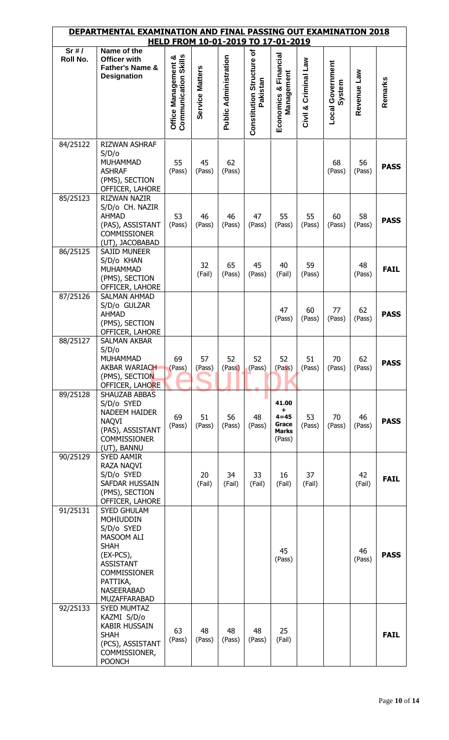|                      | DEPARTMENTAL EXAMINATION AND FINAL PASSING OUT EXAMINATION 2018                                                                                                                              |                                                    |                 |                              |                                       | HELD FROM 10-01-2019 TO 17-01-2019                         |                         |                                   |              |             |
|----------------------|----------------------------------------------------------------------------------------------------------------------------------------------------------------------------------------------|----------------------------------------------------|-----------------|------------------------------|---------------------------------------|------------------------------------------------------------|-------------------------|-----------------------------------|--------------|-------------|
| Sr#/<br>Roll No.     | Name of the<br><b>Officer with</b><br>Father's Name &<br><b>Designation</b>                                                                                                                  | <b>Communication Skills</b><br>Office Management & | Service Matters | <b>Public Administration</b> | Constitution Structure of<br>Pakistan | Financial<br>Management<br>Economics &                     | Criminal Law<br>Civil & | <b>Local Government</b><br>System | Revenue Law  | Remarks     |
| 84/25122             | RIZWAN ASHRAF<br>S/D/o<br><b>MUHAMMAD</b><br><b>ASHRAF</b><br>(PMS), SECTION<br>OFFICER, LAHORE                                                                                              | 55<br>(Pass)                                       | 45<br>(Pass)    | 62<br>(Pass)                 |                                       |                                                            |                         | 68<br>(Pass)                      | 56<br>(Pass) | <b>PASS</b> |
| 85/25123             | <b>RIZWAN NAZIR</b><br>S/D/o CH. NAZIR<br><b>AHMAD</b><br>(PAS), ASSISTANT<br><b>COMMISSIONER</b><br>(UT), JACOBABAD                                                                         | 53<br>(Pass)                                       | 46<br>(Pass)    | 46<br>(Pass)                 | 47<br>(Pass)                          | 55<br>(Pass)                                               | 55<br>(Pass)            | 60<br>(Pass)                      | 58<br>(Pass) | <b>PASS</b> |
| 86/25125             | <b>SAJID MUNEER</b><br>S/D/o KHAN<br><b>MUHAMMAD</b><br>(PMS), SECTION<br>OFFICER, LAHORE                                                                                                    |                                                    | 32<br>(Fail)    | 65<br>(Pass)                 | 45<br>(Pass)                          | 40<br>(Fail)                                               | 59<br>(Pass)            |                                   | 48<br>(Pass) | <b>FAIL</b> |
| 87/25126             | <b>SALMAN AHMAD</b><br>S/D/o GULZAR<br><b>AHMAD</b><br>(PMS), SECTION<br>OFFICER, LAHORE                                                                                                     |                                                    |                 |                              |                                       | 47<br>(Pass)                                               | 60<br>(Pass)            | 77<br>(Pass)                      | 62<br>(Pass) | <b>PASS</b> |
| 88/25127<br>89/25128 | <b>SALMAN AKBAR</b><br>S/D/O<br><b>MUHAMMAD</b><br>AKBAR WARIACH<br>(PMS), SECTION<br>OFFICER, LAHORE<br>SHAUZAB ABBAS                                                                       | 69<br>(Pass)                                       | 57<br>(Pass)    | 52<br>(Pass)                 | 52<br>(Pass)                          | 52<br>(Pass)                                               | 51<br>(Pass)            | 70<br>(Pass)                      | 62<br>(Pass) | <b>PASS</b> |
|                      | S/D/o SYED<br><b>NADEEM HAIDER</b><br><b>NAQVI</b><br>(PAS), ASSISTANT<br><b>COMMISSIONER</b><br>(UT), BANNU                                                                                 | 69<br>(Pass)                                       | 51<br>(Pass)    | 56<br>(Pass)                 | 48<br>(Pass)                          | 41.00<br>٠.<br>$4 = 45$<br>Grace<br><b>Marks</b><br>(Pass) | 53<br>(Pass)            | 70<br>(Pass)                      | 46<br>(Pass) | <b>PASS</b> |
| 90/25129             | <b>SYED AAMIR</b><br>RAZA NAQVI<br>S/D/o SYED<br>SAFDAR HUSSAIN<br>(PMS), SECTION<br>OFFICER, LAHORE                                                                                         |                                                    | 20<br>(Fail)    | 34<br>(Fail)                 | 33<br>(Fail)                          | 16<br>(Fail)                                               | 37<br>(Fail)            |                                   | 42<br>(Fail) | <b>FAIL</b> |
| 91/25131             | <b>SYED GHULAM</b><br><b>MOHIUDDIN</b><br>S/D/o SYED<br>MASOOM ALI<br><b>SHAH</b><br>$(EX-PCS),$<br><b>ASSISTANT</b><br><b>COMMISSIONER</b><br>PATTIKA,<br><b>NASEERABAD</b><br>MUZAFFARABAD |                                                    |                 |                              |                                       | 45<br>(Pass)                                               |                         |                                   | 46<br>(Pass) | <b>PASS</b> |
| 92/25133             | <b>SYED MUMTAZ</b><br>KAZMI S/D/o<br><b>KABIR HUSSAIN</b><br><b>SHAH</b><br>(PCS), ASSISTANT<br>COMMISSIONER,<br><b>POONCH</b>                                                               | 63<br>(Pass)                                       | 48<br>(Pass)    | 48<br>(Pass)                 | 48<br>(Pass)                          | 25<br>(Fail)                                               |                         |                                   |              | <b>FAIL</b> |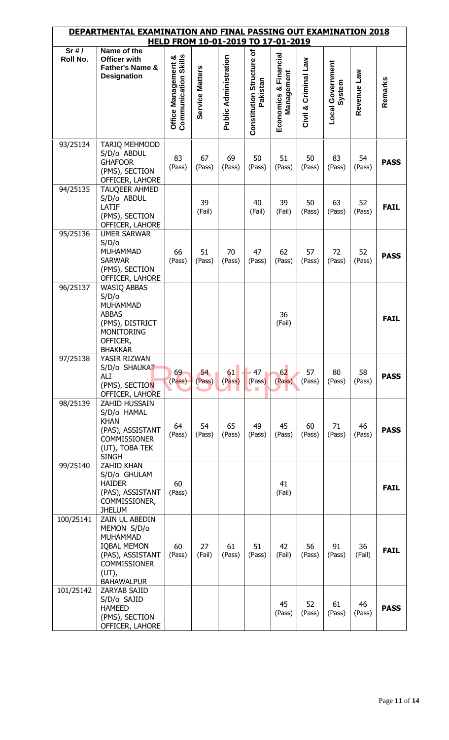|                  | DEPARTMENTAL EXAMINATION AND FINAL PASSING OUT EXAMINATION 2018                                                                                    |                                             |                 |                              |                                       | HELD FROM 10-01-2019 TO 17-01-2019  |                      |                                   |              |             |
|------------------|----------------------------------------------------------------------------------------------------------------------------------------------------|---------------------------------------------|-----------------|------------------------------|---------------------------------------|-------------------------------------|----------------------|-----------------------------------|--------------|-------------|
| Sr#/<br>Roll No. | Name of the<br>Officer with<br><b>Father's Name &amp;</b><br><b>Designation</b>                                                                    | Communication Skills<br>Office Management & | Service Matters | <b>Public Administration</b> | Constitution Structure of<br>Pakistan | Economics & Financial<br>Management | Civil & Criminal Law | <b>Local Government</b><br>System | Revenue Law  | Remarks     |
| 93/25134         | TARIQ MEHMOOD<br>S/D/o ABDUL<br><b>GHAFOOR</b><br>(PMS), SECTION<br>OFFICER, LAHORE                                                                | 83<br>(Pass)                                | 67<br>(Pass)    | 69<br>(Pass)                 | 50<br>(Pass)                          | 51<br>(Pass)                        | 50<br>(Pass)         | 83<br>(Pass)                      | 54<br>(Pass) | <b>PASS</b> |
| 94/25135         | TAUQEER AHMED<br>S/D/o ABDUL<br>LATIF<br>(PMS), SECTION<br>OFFICER, LAHORE                                                                         |                                             | 39<br>(Fail)    |                              | 40<br>(Fail)                          | 39<br>(Fail)                        | 50<br>(Pass)         | 63<br>(Pass)                      | 52<br>(Pass) | <b>FAIL</b> |
| 95/25136         | <b>UMER SARWAR</b><br>S/D/o<br><b>MUHAMMAD</b><br><b>SARWAR</b><br>(PMS), SECTION<br>OFFICER, LAHORE                                               | 66<br>(Pass)                                | 51<br>(Pass)    | 70<br>(Pass)                 | 47<br>(Pass)                          | 62<br>(Pass)                        | 57<br>(Pass)         | 72<br>(Pass)                      | 52<br>(Pass) | <b>PASS</b> |
| 96/25137         | <b>WASIQ ABBAS</b><br>S/D/o<br><b>MUHAMMAD</b><br><b>ABBAS</b><br>(PMS), DISTRICT<br><b>MONITORING</b><br>OFFICER,<br><b>BHAKKAR</b>               |                                             |                 |                              |                                       | 36<br>(Fail)                        |                      |                                   |              | <b>FAIL</b> |
| 97/25138         | YASIR RIZWAN<br>S/D/o SHAUKAT<br>ALI<br>(PMS), SECTION<br>OFFICER, LAHORE                                                                          | 69<br>(Pass)                                | 54<br>(Pass)    | 61<br>$(P$ ass)              | $-47$<br>(Pass)<br>7 I                | 62<br>(Pass)                        | 57<br>(Pass)         | 80<br>(Pass)                      | 58<br>(Pass) | <b>PASS</b> |
| 98/25139         | ZAHID HUSSAIN<br>S/D/o HAMAL<br><b>KHAN</b><br>(PAS), ASSISTANT<br><b>COMMISSIONER</b><br>(UT), TOBA TEK<br><b>SINGH</b>                           | 64<br>(Pass)                                | 54<br>(Pass)    | 65<br>(Pass)                 | 49<br>(Pass)                          | 45<br>(Pass)                        | 60<br>(Pass)         | 71<br>(Pass)                      | 46<br>(Pass) | <b>PASS</b> |
| 99/25140         | <b>ZAHID KHAN</b><br>S/D/o GHULAM<br><b>HAIDER</b><br>(PAS), ASSISTANT<br>COMMISSIONER,<br><b>JHELUM</b>                                           | 60<br>(Pass)                                |                 |                              |                                       | 41<br>(Fail)                        |                      |                                   |              | <b>FAIL</b> |
| 100/25141        | ZAIN UL ABEDIN<br>MEMON S/D/o<br><b>MUHAMMAD</b><br><b>IQBAL MEMON</b><br>(PAS), ASSISTANT<br><b>COMMISSIONER</b><br>$(UT)$ ,<br><b>BAHAWALPUR</b> | 60<br>(Pass)                                | 27<br>(Fail)    | 61<br>(Pass)                 | 51<br>(Pass)                          | 42<br>(Fail)                        | 56<br>(Pass)         | 91<br>(Pass)                      | 36<br>(Fail) | <b>FAIL</b> |
| 101/25142        | ZARYAB SAJID<br>S/D/o SAJID<br><b>HAMEED</b><br>(PMS), SECTION<br>OFFICER, LAHORE                                                                  |                                             |                 |                              |                                       | 45<br>(Pass)                        | 52<br>(Pass)         | 61<br>(Pass)                      | 46<br>(Pass) | <b>PASS</b> |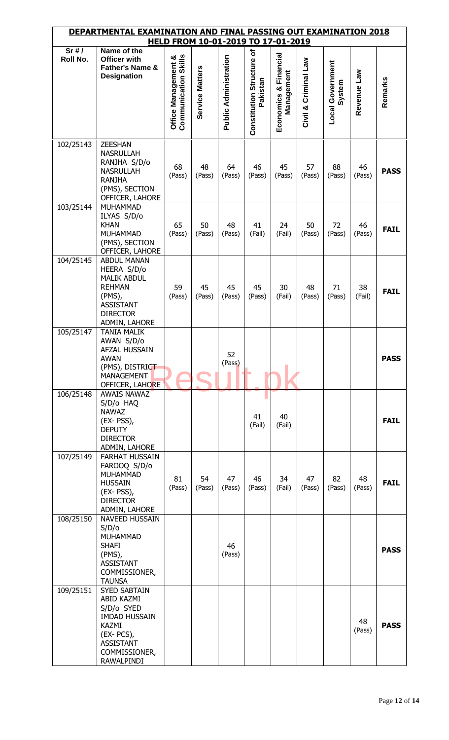| <u>DEPARTMENTAL EXAMINATION AND FINAL PASSING OUT EXAMINATION 2018</u><br>HELD FROM 10-01-2019 TO 17-01-2019 |                                                                                                                                                                  |                                                    |                 |                              |                                       |                                     |                      |                            |              |             |  |
|--------------------------------------------------------------------------------------------------------------|------------------------------------------------------------------------------------------------------------------------------------------------------------------|----------------------------------------------------|-----------------|------------------------------|---------------------------------------|-------------------------------------|----------------------|----------------------------|--------------|-------------|--|
| Sr#/                                                                                                         | Name of the                                                                                                                                                      |                                                    |                 |                              |                                       |                                     |                      |                            |              |             |  |
| Roll No.                                                                                                     | <b>Officer with</b><br>Father's Name &<br><b>Designation</b>                                                                                                     | <b>Communication Skills</b><br>Office Management & | Service Matters | <b>Public Administration</b> | Constitution Structure of<br>Pakistan | Economics & Financial<br>Management | Civil & Criminal Law | Local Government<br>System | Revenue Law  | Remarks     |  |
| 102/25143                                                                                                    | <b>ZEESHAN</b><br><b>NASRULLAH</b><br>RANJHA S/D/o<br><b>NASRULLAH</b><br><b>RANJHA</b><br>(PMS), SECTION<br>OFFICER, LAHORE                                     | 68<br>(Pass)                                       | 48<br>(Pass)    | 64<br>(Pass)                 | 46<br>(Pass)                          | 45<br>(Pass)                        | 57<br>(Pass)         | 88<br>(Pass)               | 46<br>(Pass) | <b>PASS</b> |  |
| 103/25144                                                                                                    | <b>MUHAMMAD</b><br>ILYAS S/D/o<br><b>KHAN</b><br><b>MUHAMMAD</b><br>(PMS), SECTION<br>OFFICER, LAHORE                                                            | 65<br>(Pass)                                       | 50<br>(Pass)    | 48<br>(Pass)                 | 41<br>(Fail)                          | 24<br>(Fail)                        | 50<br>(Pass)         | 72<br>(Pass)               | 46<br>(Pass) | <b>FAIL</b> |  |
| 104/25145                                                                                                    | <b>ABDUL MANAN</b><br>HEERA S/D/o<br><b>MALIK ABDUL</b><br><b>REHMAN</b><br>(PMS),<br><b>ASSISTANT</b><br><b>DIRECTOR</b><br>ADMIN, LAHORE                       | 59<br>(Pass)                                       | 45<br>(Pass)    | 45<br>(Pass)                 | 45<br>(Pass)                          | 30<br>(Fail)                        | 48<br>(Pass)         | 71<br>(Pass)               | 38<br>(Fail) | <b>FAIL</b> |  |
| 105/25147                                                                                                    | <b>TANIA MALIK</b><br>AWAN S/D/o<br>AFZAL HUSSAIN<br>AWAN<br>(PMS), DISTRICT<br><b>MANAGEMENT</b><br>OFFICER, LAHORE                                             |                                                    |                 | 52<br>(Pass)                 |                                       |                                     |                      |                            |              | <b>PASS</b> |  |
| 106/25148                                                                                                    | AWAIS NAWAZ<br>S/D/o HAQ<br><b>NAWAZ</b><br>(EX-PSS),<br><b>DEPUTY</b><br><b>DIRECTOR</b><br>ADMIN, LAHORE                                                       |                                                    |                 |                              | 41<br>(Fail)                          | 40<br>(Fail)                        |                      |                            |              | <b>FAIL</b> |  |
| 107/25149                                                                                                    | <b>FARHAT HUSSAIN</b><br>FAROOQ S/D/o<br><b>MUHAMMAD</b><br><b>HUSSAIN</b><br>(EX-PSS),<br><b>DIRECTOR</b><br>ADMIN, LAHORE                                      | 81<br>(Pass)                                       | 54<br>(Pass)    | 47<br>(Pass)                 | 46<br>(Pass)                          | 34<br>(Fail)                        | 47<br>(Pass)         | 82<br>(Pass)               | 48<br>(Pass) | <b>FAIL</b> |  |
| 108/25150                                                                                                    | NAVEED HUSSAIN<br>S/D/o<br><b>MUHAMMAD</b><br><b>SHAFI</b><br>(PMS),<br><b>ASSISTANT</b><br>COMMISSIONER,<br><b>TAUNSA</b>                                       |                                                    |                 | 46<br>(Pass)                 |                                       |                                     |                      |                            |              | <b>PASS</b> |  |
| 109/25151                                                                                                    | <b>SYED SABTAIN</b><br><b>ABID KAZMI</b><br>S/D/o SYED<br><b>IMDAD HUSSAIN</b><br><b>KAZMI</b><br>$(EX-PCS),$<br><b>ASSISTANT</b><br>COMMISSIONER,<br>RAWALPINDI |                                                    |                 |                              |                                       |                                     |                      |                            | 48<br>(Pass) | <b>PASS</b> |  |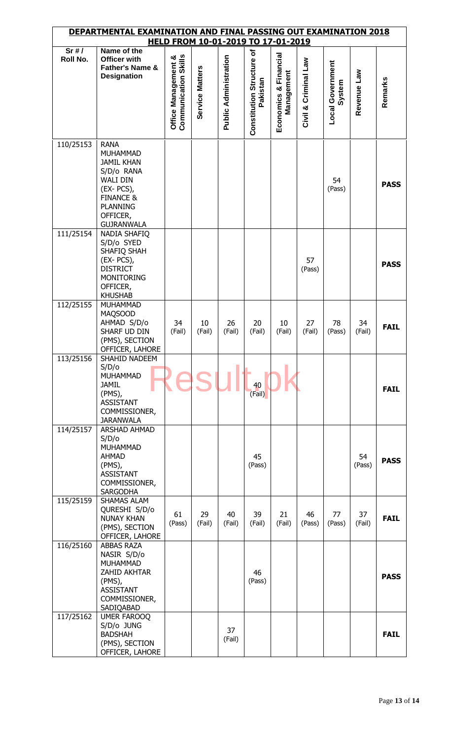| DEPARTMENTAL EXAMINATION AND FINAL PASSING OUT EXAMINATION 2018<br>HELD FROM 10-01-2019 TO 17-01-2019 |                                                                                                                                                                          |                                                    |                 |                              |                                       |                                     |                         |                                   |              |             |
|-------------------------------------------------------------------------------------------------------|--------------------------------------------------------------------------------------------------------------------------------------------------------------------------|----------------------------------------------------|-----------------|------------------------------|---------------------------------------|-------------------------------------|-------------------------|-----------------------------------|--------------|-------------|
| Sr#/<br>Roll No.                                                                                      | Name of the<br>Officer with<br>Father's Name &<br><b>Designation</b>                                                                                                     | <b>Communication Skills</b><br>Office Management & | Service Matters | <b>Public Administration</b> | Constitution Structure of<br>Pakistan | Economics & Financial<br>Management | Criminal Law<br>Civil & | <b>Local Government</b><br>System | Revenue Law  | Remarks     |
| 110/25153                                                                                             | <b>RANA</b><br>MUHAMMAD<br><b>JAMIL KHAN</b><br>S/D/o RANA<br><b>WALI DIN</b><br>$(EX-PCS),$<br><b>FINANCE &amp;</b><br><b>PLANNING</b><br>OFFICER,<br><b>GUJRANWALA</b> |                                                    |                 |                              |                                       |                                     |                         | 54<br>(Pass)                      |              | <b>PASS</b> |
| 111/25154                                                                                             | NADIA SHAFIQ<br>S/D/o SYED<br>SHAFIQ SHAH<br>$(EX-PCS),$<br><b>DISTRICT</b><br><b>MONITORING</b><br>OFFICER,<br><b>KHUSHAB</b>                                           |                                                    |                 |                              |                                       |                                     | 57<br>(Pass)            |                                   |              | <b>PASS</b> |
| 112/25155                                                                                             | <b>MUHAMMAD</b><br><b>MAQSOOD</b><br>AHMAD S/D/o<br>SHARF UD DIN<br>(PMS), SECTION<br>OFFICER, LAHORE                                                                    | 34<br>(Fail)                                       | 10<br>(Fail)    | 26<br>(Fail)                 | 20<br>(Fail)                          | 10<br>(Fail)                        | 27<br>(Fail)            | 78<br>(Pass)                      | 34<br>(Fail) | <b>FAIL</b> |
| 113/25156                                                                                             | SHAHID NADEEM<br>S/D/O<br>MUHAMMAD<br><b>JAMIL</b><br>$(PMS)$ ,<br><b>ASSISTANT</b><br>COMMISSIONER,<br><b>JARANWALA</b>                                                 |                                                    |                 |                              | 40<br>(Fail)                          |                                     |                         |                                   |              | <b>FAIL</b> |
| 114/25157                                                                                             | <b>ARSHAD AHMAD</b><br>S/D/O<br><b>MUHAMMAD</b><br><b>AHMAD</b><br>(PMS),<br><b>ASSISTANT</b><br>COMMISSIONER,<br>SARGODHA                                               |                                                    |                 |                              | 45<br>(Pass)                          |                                     |                         |                                   | 54<br>(Pass) | <b>PASS</b> |
| 115/25159                                                                                             | SHAMAS ALAM<br>QURESHI S/D/o<br><b>NUNAY KHAN</b><br>(PMS), SECTION<br>OFFICER, LAHORE                                                                                   | 61<br>(Pass)                                       | 29<br>(Fail)    | 40<br>(Fail)                 | 39<br>(Fail)                          | 21<br>(Fail)                        | 46<br>(Pass)            | 77<br>(Pass)                      | 37<br>(Fail) | <b>FAIL</b> |
| 116/25160                                                                                             | <b>ABBAS RAZA</b><br>NASIR S/D/o<br>MUHAMMAD<br>ZAHID AKHTAR<br>(PMS),<br><b>ASSISTANT</b><br>COMMISSIONER,<br>SADIQABAD                                                 |                                                    |                 |                              | 46<br>(Pass)                          |                                     |                         |                                   |              | <b>PASS</b> |
| 117/25162                                                                                             | <b>UMER FAROOQ</b><br>S/D/o JUNG<br><b>BADSHAH</b><br>(PMS), SECTION<br>OFFICER, LAHORE                                                                                  |                                                    |                 | 37<br>(Fail)                 |                                       |                                     |                         |                                   |              | <b>FAIL</b> |